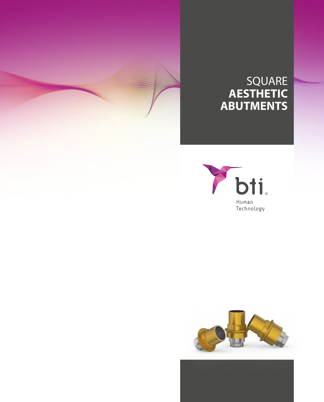

### SQUARE **AESTHETIC ABUTMENTS**



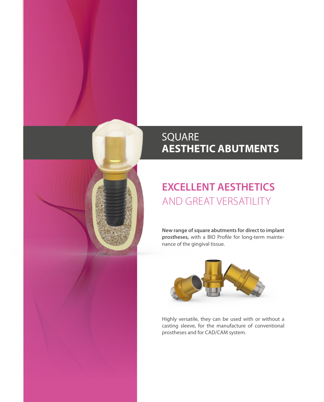### SQUARE **AESTHETIC ABUTMENTS**

# **EXCELLENT AESTHETICS**  AND GREAT VERSATILITY

**New range of square abutments for direct to implant prostheses,** with a BIO Profile for long-term maintenance of the gingival tissue.



Highly versatile, they can be used with or without a casting sleeve, for the manufacture of conventional prostheses and for CAD/CAM system.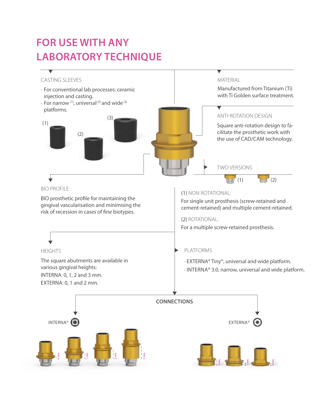# **FOR USE WITH ANY LABORATORY TECHNIQUE**

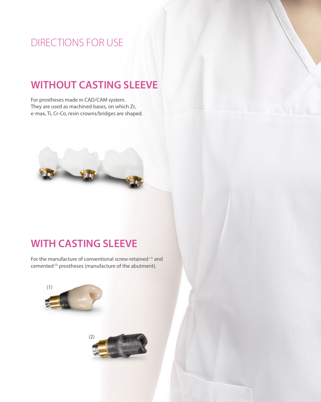## DIRECTIONS FOR USE

### **WITHOUT CASTING SLEEVE**

For prostheses made in CAD/CAM system. They are used as machined bases, on which Zr, e-max, Ti, Cr-Co, resin crowns/bridges are shaped.



### **WITH CASTING SLEEVE**

For the manufacture of conventional screw-retained (1) and cemented<sup>(2)</sup> prostheses (manufacture of the abutment).

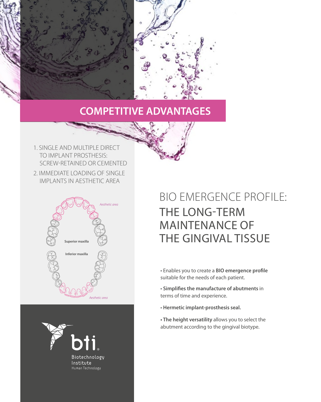

### **COMPETITIVE ADVANTAGES**

1. SINGLE AND MULTIPLE DIRECT TO IMPLANT PROSTHESIS: SCREW-RETAINED OR CEMENTED 2. IMMEDIATE LOADING OF SINGLE IMPLANTS IN AESTHETIC AREA





# BIO EMERGENCE PROFILE: THE LONG-TERM MAINTENANCE OF THE GINGIVAL TISSUE

- Enables you to create a **BIO emergence profile** suitable for the needs of each patient.
- **Simplifies the manufacture of abutments** in terms of time and experience.
- **Hermetic implant-prosthesis seal.**
- **The height versatility** allows you to select the abutment according to the gingival biotype.